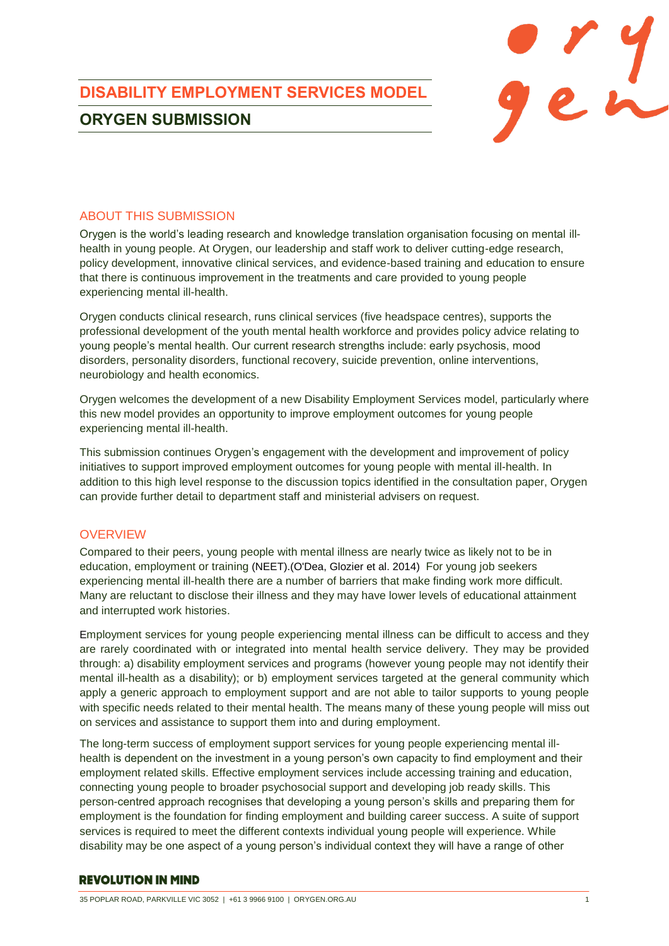

## ABOUT THIS SUBMISSION

Orygen is the world's leading research and knowledge translation organisation focusing on mental illhealth in young people. At Orygen, our leadership and staff work to deliver cutting-edge research, policy development, innovative clinical services, and evidence-based training and education to ensure that there is continuous improvement in the treatments and care provided to young people experiencing mental ill-health.

Orygen conducts clinical research, runs clinical services (five headspace centres), supports the professional development of the youth mental health workforce and provides policy advice relating to young people's mental health. Our current research strengths include: early psychosis, mood disorders, personality disorders, functional recovery, suicide prevention, online interventions, neurobiology and health economics.

Orygen welcomes the development of a new Disability Employment Services model, particularly where this new model provides an opportunity to improve employment outcomes for young people experiencing mental ill-health.

This submission continues Orygen's engagement with the development and improvement of policy initiatives to support improved employment outcomes for young people with mental ill-health. In addition to this high level response to the discussion topics identified in the consultation paper, Orygen can provide further detail to department staff and ministerial advisers on request.

### **OVERVIEW**

Compared to their peers, young people with mental illness are nearly twice as likely not to be in education, employment or training (NEET).(O'Dea, Glozier et al. 2014) For young job seekers experiencing mental ill-health there are a number of barriers that make finding work more difficult. Many are reluctant to disclose their illness and they may have lower levels of educational attainment and interrupted work histories.

Employment services for young people experiencing mental illness can be difficult to access and they are rarely coordinated with or integrated into mental health service delivery. They may be provided through: a) disability employment services and programs (however young people may not identify their mental ill-health as a disability); or b) employment services targeted at the general community which apply a generic approach to employment support and are not able to tailor supports to young people with specific needs related to their mental health. The means many of these young people will miss out on services and assistance to support them into and during employment.

The long-term success of employment support services for young people experiencing mental illhealth is dependent on the investment in a young person's own capacity to find employment and their employment related skills. Effective employment services include accessing training and education, connecting young people to broader psychosocial support and developing job ready skills. This person-centred approach recognises that developing a young person's skills and preparing them for employment is the foundation for finding employment and building career success. A suite of support services is required to meet the different contexts individual young people will experience. While disability may be one aspect of a young person's individual context they will have a range of other

#### **REVOLUTION IN MIND**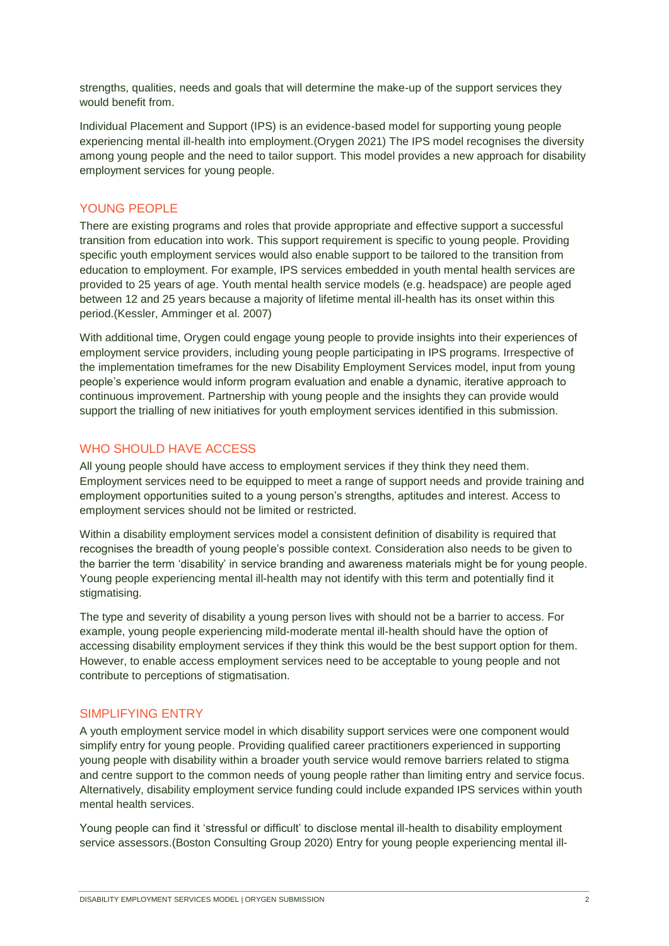strengths, qualities, needs and goals that will determine the make-up of the support services they would benefit from

Individual Placement and Support (IPS) is an evidence-based model for supporting young people experiencing mental ill-health into employment.(Orygen 2021) The IPS model recognises the diversity among young people and the need to tailor support. This model provides a new approach for disability employment services for young people.

## YOUNG PEOPLE

There are existing programs and roles that provide appropriate and effective support a successful transition from education into work. This support requirement is specific to young people. Providing specific youth employment services would also enable support to be tailored to the transition from education to employment. For example, IPS services embedded in youth mental health services are provided to 25 years of age. Youth mental health service models (e.g. headspace) are people aged between 12 and 25 years because a majority of lifetime mental ill-health has its onset within this period.(Kessler, Amminger et al. 2007)

With additional time, Orygen could engage young people to provide insights into their experiences of employment service providers, including young people participating in IPS programs. Irrespective of the implementation timeframes for the new Disability Employment Services model, input from young people's experience would inform program evaluation and enable a dynamic, iterative approach to continuous improvement. Partnership with young people and the insights they can provide would support the trialling of new initiatives for youth employment services identified in this submission.

# WHO SHOULD HAVE ACCESS

All young people should have access to employment services if they think they need them. Employment services need to be equipped to meet a range of support needs and provide training and employment opportunities suited to a young person's strengths, aptitudes and interest. Access to employment services should not be limited or restricted.

Within a disability employment services model a consistent definition of disability is required that recognises the breadth of young people's possible context. Consideration also needs to be given to the barrier the term 'disability' in service branding and awareness materials might be for young people. Young people experiencing mental ill-health may not identify with this term and potentially find it stigmatising.

The type and severity of disability a young person lives with should not be a barrier to access. For example, young people experiencing mild-moderate mental ill-health should have the option of accessing disability employment services if they think this would be the best support option for them. However, to enable access employment services need to be acceptable to young people and not contribute to perceptions of stigmatisation.

### SIMPLIFYING ENTRY

A youth employment service model in which disability support services were one component would simplify entry for young people. Providing qualified career practitioners experienced in supporting young people with disability within a broader youth service would remove barriers related to stigma and centre support to the common needs of young people rather than limiting entry and service focus. Alternatively, disability employment service funding could include expanded IPS services within youth mental health services.

Young people can find it 'stressful or difficult' to disclose mental ill-health to disability employment service assessors.(Boston Consulting Group 2020) Entry for young people experiencing mental ill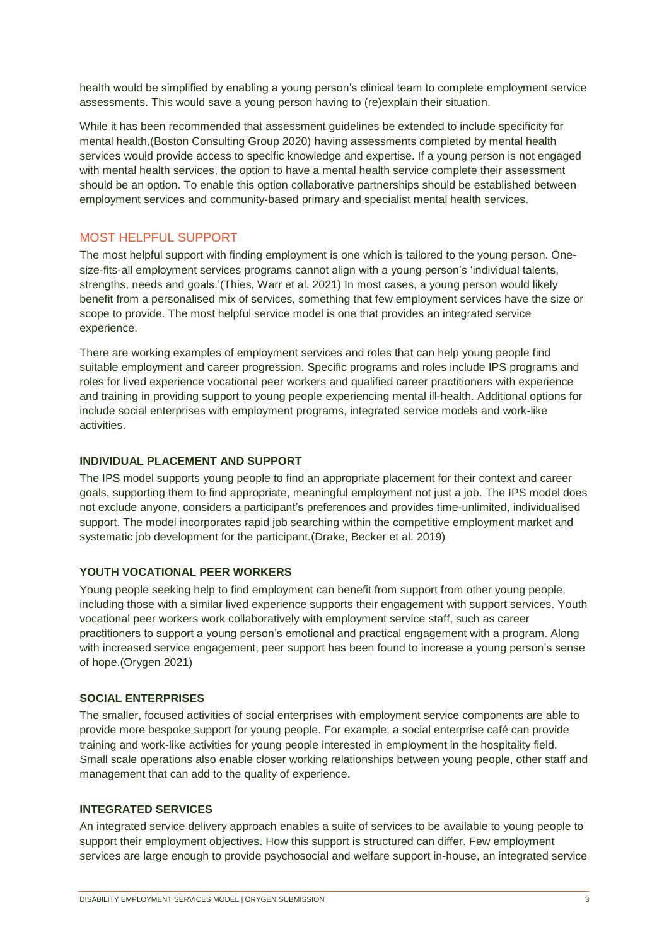health would be simplified by enabling a young person's clinical team to complete employment service assessments. This would save a young person having to (re)explain their situation.

While it has been recommended that assessment guidelines be extended to include specificity for mental health,(Boston Consulting Group 2020) having assessments completed by mental health services would provide access to specific knowledge and expertise. If a young person is not engaged with mental health services, the option to have a mental health service complete their assessment should be an option. To enable this option collaborative partnerships should be established between employment services and community-based primary and specialist mental health services.

### MOST HELPFUL SUPPORT

The most helpful support with finding employment is one which is tailored to the young person. Onesize-fits-all employment services programs cannot align with a young person's 'individual talents, strengths, needs and goals.'(Thies, Warr et al. 2021) In most cases, a young person would likely benefit from a personalised mix of services, something that few employment services have the size or scope to provide. The most helpful service model is one that provides an integrated service experience.

There are working examples of employment services and roles that can help young people find suitable employment and career progression. Specific programs and roles include IPS programs and roles for lived experience vocational peer workers and qualified career practitioners with experience and training in providing support to young people experiencing mental ill-health. Additional options for include social enterprises with employment programs, integrated service models and work-like activities.

### **INDIVIDUAL PLACEMENT AND SUPPORT**

The IPS model supports young people to find an appropriate placement for their context and career goals, supporting them to find appropriate, meaningful employment not just a job. The IPS model does not exclude anyone, considers a participant's preferences and provides time-unlimited, individualised support. The model incorporates rapid job searching within the competitive employment market and systematic job development for the participant.(Drake, Becker et al. 2019)

### **YOUTH VOCATIONAL PEER WORKERS**

Young people seeking help to find employment can benefit from support from other young people, including those with a similar lived experience supports their engagement with support services. Youth vocational peer workers work collaboratively with employment service staff, such as career practitioners to support a young person's emotional and practical engagement with a program. Along with increased service engagement, peer support has been found to increase a young person's sense of hope.(Orygen 2021)

#### **SOCIAL ENTERPRISES**

The smaller, focused activities of social enterprises with employment service components are able to provide more bespoke support for young people. For example, a social enterprise café can provide training and work-like activities for young people interested in employment in the hospitality field. Small scale operations also enable closer working relationships between young people, other staff and management that can add to the quality of experience.

### **INTEGRATED SERVICES**

An integrated service delivery approach enables a suite of services to be available to young people to support their employment objectives. How this support is structured can differ. Few employment services are large enough to provide psychosocial and welfare support in-house, an integrated service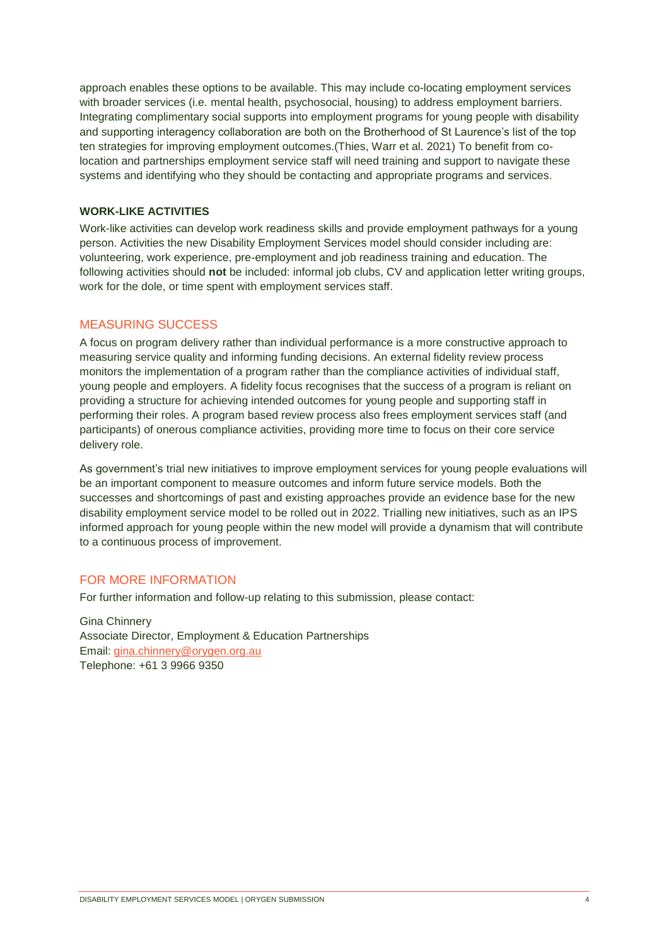approach enables these options to be available. This may include co-locating employment services with broader services (i.e. mental health, psychosocial, housing) to address employment barriers. Integrating complimentary social supports into employment programs for young people with disability and supporting interagency collaboration are both on the Brotherhood of St Laurence's list of the top ten strategies for improving employment outcomes.(Thies, Warr et al. 2021) To benefit from colocation and partnerships employment service staff will need training and support to navigate these systems and identifying who they should be contacting and appropriate programs and services.

#### **WORK-LIKE ACTIVITIES**

Work-like activities can develop work readiness skills and provide employment pathways for a young person. Activities the new Disability Employment Services model should consider including are: volunteering, work experience, pre-employment and job readiness training and education. The following activities should **not** be included: informal job clubs, CV and application letter writing groups, work for the dole, or time spent with employment services staff.

#### MEASURING SUCCESS

A focus on program delivery rather than individual performance is a more constructive approach to measuring service quality and informing funding decisions. An external fidelity review process monitors the implementation of a program rather than the compliance activities of individual staff, young people and employers. A fidelity focus recognises that the success of a program is reliant on providing a structure for achieving intended outcomes for young people and supporting staff in performing their roles. A program based review process also frees employment services staff (and participants) of onerous compliance activities, providing more time to focus on their core service delivery role.

As government's trial new initiatives to improve employment services for young people evaluations will be an important component to measure outcomes and inform future service models. Both the successes and shortcomings of past and existing approaches provide an evidence base for the new disability employment service model to be rolled out in 2022. Trialling new initiatives, such as an IPS informed approach for young people within the new model will provide a dynamism that will contribute to a continuous process of improvement.

### FOR MORE INFORMATION

For further information and follow-up relating to this submission, please contact:

Gina Chinnery Associate Director, Employment & Education Partnerships Email: [gina.chinnery@orygen.org.au](mailto:gina.chinnery@orygen.org.au) Telephone: +61 3 9966 9350